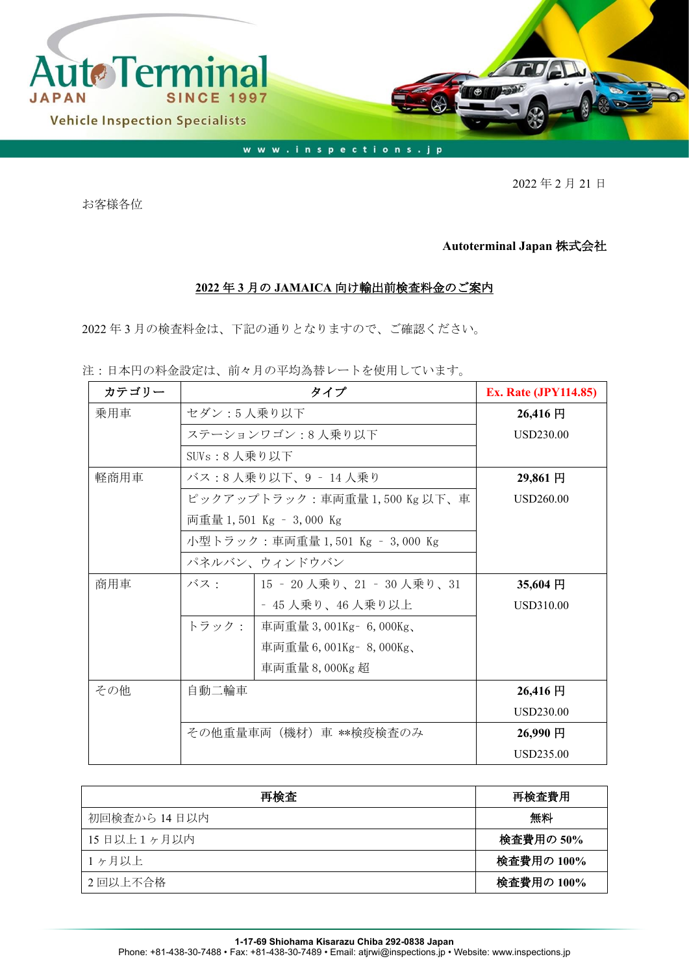

2022 年 2 月 21 日

お客様各位

## **Autoterminal Japan** 株式会社

## **2022** 年 **3** 月の **JAMAICA** 向け輸出前検査料金のご案内

2022 年 3 月の検査料金は、下記の通りとなりますので、ご確認ください。

注:日本円の料金設定は、前々月の平均為替レートを使用しています。

| カテゴリー |                               | <b>Ex. Rate (JPY114.85)</b>     |                  |
|-------|-------------------------------|---------------------------------|------------------|
| 乗用車   | セダン:5人乗り以下                    | 26,416円                         |                  |
|       | ステーションワゴン:8人乗り以下              | <b>USD230.00</b>                |                  |
|       | SUVs:8 人乗り以下                  |                                 |                  |
| 軽商用車  | バス:8 人乗り以下、9 ‐ 14 人乗り         | 29,861 円                        |                  |
|       | ピックアップトラック:車両重量 1,500 Kg 以下、車 | USD260.00                       |                  |
|       |                               | 両重量 1,501 Kg – 3,000 Kg         |                  |
|       |                               | 小型トラック:車両重量 1,501 Kg – 3,000 Kg |                  |
|       |                               | パネルバン、ウィンドウバン                   |                  |
| 商用車   | バス・                           | 15 - 20 人乗り、21 - 30 人乗り、31      | 35,604円          |
|       |                               | - 45 人乗り、46 人乗り以上               | USD310.00        |
|       | トラック:                         | 車両重量 3,001Kg - 6,000Kg、         |                  |
|       |                               | 車両重量 6,001Kg - 8,000Kg、         |                  |
|       |                               | 車両重量 8,000Kg 超                  |                  |
| その他   | 自動二輪車                         |                                 | 26,416円          |
|       |                               |                                 | <b>USD230.00</b> |
|       | その他重量車両(機材)車 **検疫検査のみ         | 26,990円                         |                  |
|       |                               |                                 | <b>USD235.00</b> |

| 再検査          | 再検査費用      |
|--------------|------------|
| 初回検査から 14日以内 | 無料         |
| 15日以上1ヶ月以内   | 検査費用の 50%  |
| 1ヶ月以上        | 検査費用の 100% |
| 2回以上不合格      | 検査費用の 100% |